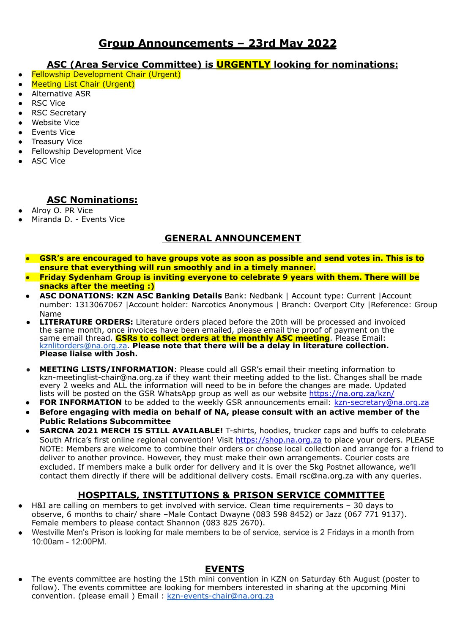# **Group Announcements – 23rd May 2022**

### **ASC (Area Service Committee) is URGENTLY looking for nominations:**

- Fellowship Development Chair (Urgent)
- **Meeting List Chair (Urgent)**
- Alternative ASR
- **RSC Vice**
- **RSC Secretary**
- Website Vice
- Events Vice
- **Treasury Vice**
- Fellowship Development Vice
- **ASC Vice**

## **ASC Nominations:**

- Alroy O. PR Vice
- Miranda D. Events Vice

# **GENERAL ANNOUNCEMENT**

- GSR's are encouraged to have groups vote as soon as possible and send votes in. This is to **ensure that everything will run smoothly and in a timely manner.**
- **● Friday Sydenham Group is inviting everyone to celebrate 9 years with them. There will be snacks after the meeting :)**
- **● ASC DONATIONS: KZN ASC Banking Details** Bank: Nedbank | Account type: Current |Account number: 1313067067 |Account holder: Narcotics Anonymous | Branch: Overport City |Reference: Group Name
- **LITERATURE ORDERS:** Literature orders placed before the 20th will be processed and invoiced the same month, once invoices have been emailed, please email the proof of payment on the same email thread. **GSRs to collect orders at the monthly ASC meeting**. Please Email: [kznlitorders@na.org.za.](mailto:kznlitorders@na.org.za) **Please note that there will be a delay in literature collection. Please liaise with Josh.**
- **MEETING LISTS/INFORMATION:** Please could all GSR's email their meeting information to kzn-meetinglist-chair@na.org.za if they want their meeting added to the list. Changes shall be made every 2 weeks and ALL the information will need to be in before the changes are made. Updated lists will be posted on the GSR WhatsApp group as well as our website <https://na.org.za/kzn/>
- **FOR INFORMATION** to be added to the weekly GSR announcements email: [kzn-secretary@na.org.za](mailto:kzn-secretary@na.org.za)
- **● Before engaging with media on behalf of NA, please consult with an active member of the Public Relations Subcommittee**
- **SARCNA 2021 MERCH IS STILL AVAILABLE!** T-shirts, hoodies, trucker caps and buffs to celebrate South Africa's first online regional convention! Visit https://shop.na.org.za to place your orders. PLEASE NOTE: Members are welcome to combine their orders or choose local collection and arrange for a friend to deliver to another province. However, they must make their own arrangements. Courier costs are excluded. If members make a bulk order for delivery and it is over the 5kg Postnet allowance, we'll contact them directly if there will be additional delivery costs. Email rsc@na.org.za with any queries.

# **HOSPITALS, INSTITUTIONS & PRISON SERVICE COMMITTEE**

- H&I are calling on members to get involved with service. Clean time requirements 30 days to observe, 6 months to chair/ share –Male Contact Dwayne (083 598 8452) or Jazz (067 771 9137). Female members to please contact Shannon (083 825 2670).
- Westville Men's Prison is looking for male members to be of service, service is 2 Fridays in a month from 10:00am - 12:00PM.

### **EVENTS**

The events committee are hosting the 15th mini convention in KZN on Saturday 6th August (poster to follow). The events committee are looking for members interested in sharing at the upcoming Mini convention. (please email) Email: [kzn-events-chair@na.org.za](mailto:kzn-events-chair@na.org.za)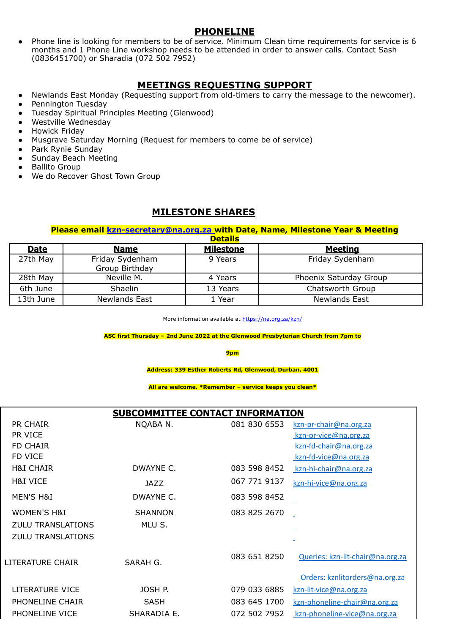#### **PHONELINE**

Phone line is looking for members to be of service. Minimum Clean time requirements for service is 6 months and 1 Phone Line workshop needs to be attended in order to answer calls. Contact Sash (0836451700) or Sharadia (072 502 7952)

### **MEETINGS REQUESTING SUPPORT**

- Newlands East Monday (Requesting support from old-timers to carry the message to the newcomer).
- Pennington Tuesday
- Tuesday Spiritual Principles Meeting (Glenwood)
- Westville Wednesday
- Howick Friday
- Musgrave Saturday Morning (Request for members to come be of service)
- Park Rynie Sunday
- Sunday Beach Meeting
- **Ballito Group**
- We do Recover Ghost Town Group

### **MILESTONE SHARES**

#### **Please email kzn-secretary@na.org.za with Date, Name, Milestone Year & Meeting Details**

| petans      |                                   |                  |                        |  |
|-------------|-----------------------------------|------------------|------------------------|--|
| <b>Date</b> | <b>Name</b>                       | <b>Milestone</b> | <b>Meeting</b>         |  |
| 27th May    | Friday Sydenham<br>Group Birthday | 9 Years          | Friday Sydenham        |  |
| 28th May    | Neville M.                        | 4 Years          | Phoenix Saturday Group |  |
| 6th June    | Shaelin                           | 13 Years         | Chatsworth Group       |  |
| 13th June   | Newlands East                     | . Year           | Newlands East          |  |

More information available at <https://na.org.za/kzn/>

**ASC first Thursday – 2nd June 2022 at the Glenwood Presbyterian Church from 7pm to**

**9pm**

**Address: 339 Esther Roberts Rd, Glenwood, Durban, 4001**

**All are welcome. \*Remember – service keeps you clean\***

### **SUBCOMMITTEE CONTACT INFORMATION**

| PR CHAIR                 | NQABA N.       | 081 830 6553 | kzn-pr-chair@na.org.za           |
|--------------------------|----------------|--------------|----------------------------------|
| PR VICE                  |                |              | kzn-pr-vice@na.org.za            |
| <b>FD CHAIR</b>          |                |              | kzn-fd-chair@na.org.za           |
| FD VICE                  |                |              | kzn-fd-vice@na.org.za            |
| <b>H&amp;I CHAIR</b>     | DWAYNE C.      | 083 598 8452 | kzn-hi-chair@na.org.za           |
| H&I VICE                 | JAZZ           | 067 771 9137 | kzn-hi-vice@na.org.za            |
| MEN'S H&I                | DWAYNE C.      | 083 598 8452 |                                  |
| <b>WOMEN'S H&amp;I</b>   | <b>SHANNON</b> | 083 825 2670 |                                  |
| <b>ZULU TRANSLATIONS</b> | MLU S.         |              |                                  |
| <b>ZULU TRANSLATIONS</b> |                |              |                                  |
| LITERATURE CHAIR         | SARAH G.       | 083 651 8250 | Queries: kzn-lit-chair@na.org.za |
|                          |                |              | Orders: kznlitorders@na.org.za   |
| LITERATURE VICE          | JOSH P.        | 079 033 6885 | kzn-lit-vice@na.org.za           |
| PHONELINE CHAIR          | <b>SASH</b>    | 083 645 1700 | kzn-phoneline-chair@na.org.za    |
| PHONELINE VICE           | SHARADIA E.    | 072 502 7952 | kzn-phoneline-vice@na.org.za     |
|                          |                |              |                                  |